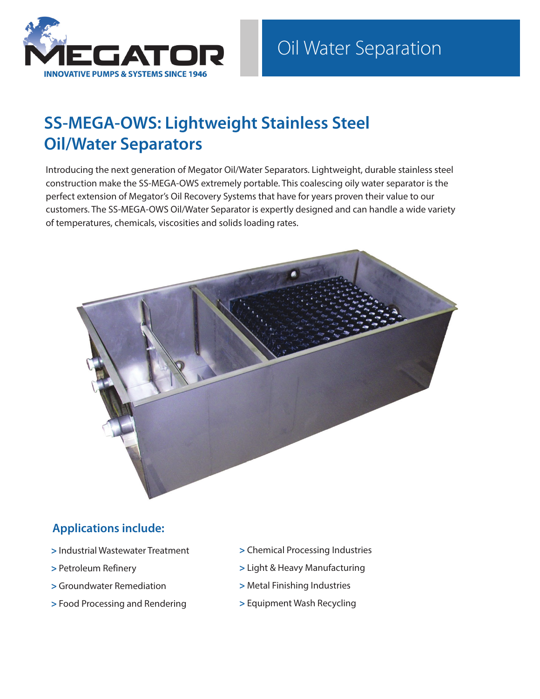

# **SS-MEGA-OWS: Lightweight Stainless Steel Oil/Water Separators**

Introducing the next generation of Megator Oil/Water Separators. Lightweight, durable stainless steel construction make the SS-MEGA-OWS extremely portable. This coalescing oily water separator is the perfect extension of Megator's Oil Recovery Systems that have for years proven their value to our customers. The SS-MEGA-OWS Oil/Water Separator is expertly designed and can handle a wide variety of temperatures, chemicals, viscosities and solids loading rates.



### **Applications include:**

- **>** Industrial Wastewater Treatment
- **>** Petroleum Refinery
- **>** Groundwater Remediation
- **>** Food Processing and Rendering
- **>** Chemical Processing Industries
- **>** Light & Heavy Manufacturing
- **>** Metal Finishing Industries
- **>** Equipment Wash Recycling